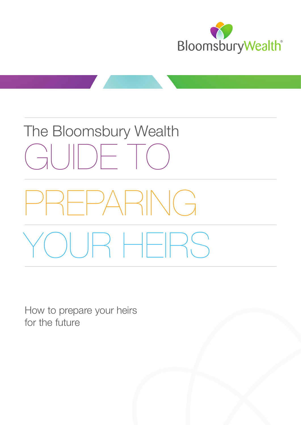

# The Bloomsbury Wealth GUIDE TO PREPARING YOUR HEIRS

How to prepare your heirs for the future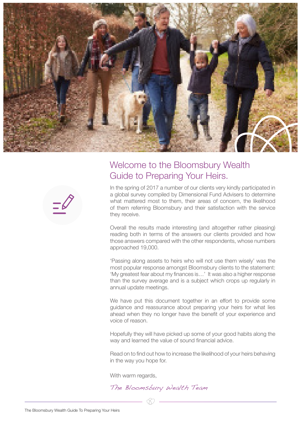

### Welcome to the Bloomsbury Wealth Guide to Preparing Your Heirs.

In the spring of 2017 a number of our clients very kindly participated in a global survey compiled by Dimensional Fund Advisers to determine what mattered most to them, their areas of concern, the likelihood of them referring Bloomsbury and their satisfaction with the service they receive.

Overall the results made interesting (and altogether rather pleasing) reading both in terms of the answers our clients provided and how those answers compared with the other respondents, whose numbers approached 19,000.

'Passing along assets to heirs who will not use them wisely' was the most popular response amongst Bloomsbury clients to the statement: 'My greatest fear about my finances is…' It was also a higher response than the survey average and is a subject which crops up regularly in annual update meetings.

We have put this document together in an effort to provide some guidance and reassurance about preparing your heirs for what lies ahead when they no longer have the benefit of your experience and voice of reason.

Hopefully they will have picked up some of your good habits along the way and learned the value of sound financial advice.

Read on to find out how to increase the likelihood of your heirs behaving in the way you hope for.

With warm regards.

The Bloomsbury Wealth Team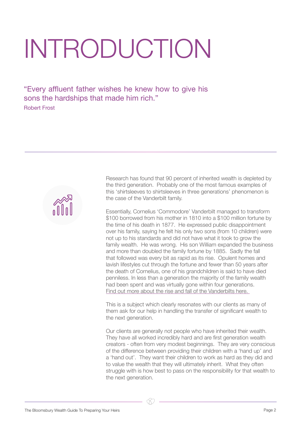## INTRODUCTION

"Every affluent father wishes he knew how to give his sons the hardships that made him rich." Robert Frost



Research has found that 90 percent of inherited wealth is depleted by the third generation. Probably one of the most famous examples of this 'shirtsleeves to shirtsleeves in three generations' phenomenon is the case of the Vanderbilt family.

Essentially, Cornelius 'Commodore' Vanderbilt managed to transform \$100 borrowed from his mother in 1810 into a \$100 million fortune by the time of his death in 1877. He expressed public disappointment over his family, saying he felt his only two sons (from 10 children) were not up to his standards and did not have what it took to grow the family wealth. He was wrong. His son William expanded the business and more than doubled the family fortune by 1885. Sadly the fall that followed was every bit as rapid as its rise. Opulent homes and lavish lifestyles cut through the fortune and fewer than 50 years after the death of Cornelius, one of his grandchildren is said to have died penniless. In less than a generation the majority of the family wealth had been spent and was virtually gone within four generations. [Find out more about the rise and fall of the Vanderbilts here.](https://www.forbes.com/sites/natalierobehmed/2014/07/14/the-vanderbilts-how-american-royalty-lost-their-crown-jewels/#3d6fbec4353b) 

This is a subject which clearly resonates with our clients as many of them ask for our help in handling the transfer of significant wealth to the next generation.

Our clients are generally not people who have inherited their wealth. They have all worked incredibly hard and are first generation wealth creators - often from very modest beginnings. They are very conscious of the difference between providing their children with a 'hand up' and a 'hand out'. They want their children to work as hard as they did and to value the wealth that they will ultimately inherit. What they often struggle with is how best to pass on the responsibility for that wealth to the next generation.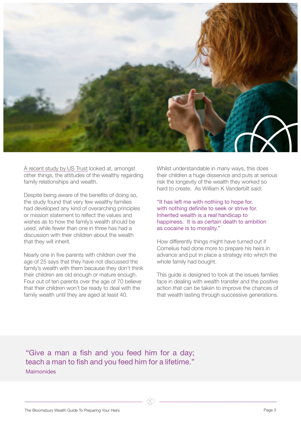

[A recent study by US Trust looked at, amongst](http://www.ustrust.com/publish/content/application/pdf/GWMOL/USTp_ARTNTGDB_2016-05.pdf)  [other things, the attitudes of the wealthy regarding](http://www.ustrust.com/publish/content/application/pdf/GWMOL/USTp_ARTNTGDB_2016-05.pdf)  [family relationships and wealth.](http://www.ustrust.com/publish/content/application/pdf/GWMOL/USTp_ARTNTGDB_2016-05.pdf)

Despite being aware of the benefits of doing so, the study found that very few wealthy families had developed any kind of overarching principles or mission statement to reflect the values and wishes as to how the family's wealth should be used, while fewer than one in three has had a discussion with their children about the wealth that they will inherit.

Nearly one in five parents with children over the age of 25 says that they have not discussed the family's wealth with them because they don't think their children are old enough or mature enough. Four out of ten parents over the age of 70 believe that their children won't be ready to deal with the family wealth until they are aged at least 40.

Whilst understandable in many ways, this does their children a huge disservice and puts at serious risk the longevity of the wealth they worked so hard to create. As William K Vanderbilt said:

"It has left me with nothing to hope for, with nothing definite to seek or strive for. Inherited wealth is a real handicap to happiness. It is as certain death to ambition as cocaine is to morality."

How differently things might have turned out if Cornelius had done more to prepare his heirs in advance and put in place a strategy into which the whole family had bought.

This guide is designed to look at the issues families face in dealing with wealth transfer and the positive action that can be taken to improve the chances of that wealth lasting through successive generations.

"Give a man a fish and you feed him for a day; teach a man to fish and you feed him for a lifetime." Maimonides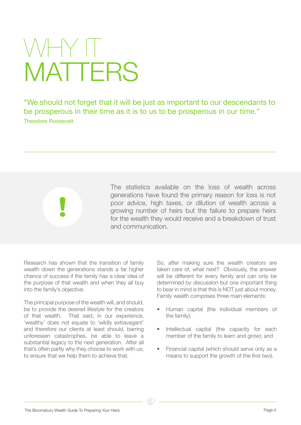### WHY II **MATTERS**

"We should not forget that it will be just as important to our descendants to be prosperous in their time as it is to us to be prosperous in our time." Theodore Roosevelt

> The statistics available on the loss of wealth across generations have found the primary reason for loss is not poor advice, high taxes, or dilution of wealth across a growing number of heirs but the failure to prepare heirs for the wealth they would receive and a breakdown of trust and communication.

Research has shown that the transition of family wealth down the generations stands a far higher chance of success if the family has a clear idea of the purpose of that wealth and when they all buy into the family's objective.

The principal purpose of the wealth will, and should, be to provide the desired lifestyle for the creators of that wealth. That said, in our experience, 'wealthy' does not equate to 'wildly extravagant' and therefore our clients at least should, barring unforeseen catastrophes, be able to leave a substantial legacy to the next generation. After all that's often partly why they choose to work with us; to ensure that we help them to achieve that.

So, after making sure the wealth creators are taken care of, what next? Obviously, the answer will be different for every family and can only be determined by discussion but one important thing to bear in mind is that this is NOT just about money. Family wealth comprises three main elements:

- Human capital (the individual members of the family);
- Intellectual capital (the capacity for each member of the family to learn and grow); and
- Financial capital (which should serve only as a means to support the growth of the first two).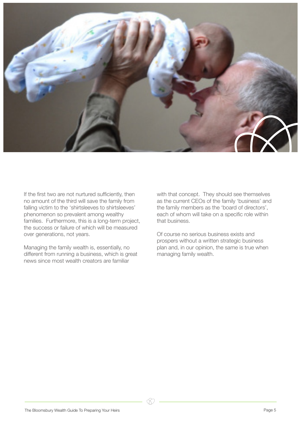

If the first two are not nurtured sufficiently, then no amount of the third will save the family from falling victim to the 'shirtsleeves to shirtsleeves' phenomenon so prevalent among wealthy families. Furthermore, this is a long-term project, the success or failure of which will be measured over generations, not years.

Managing the family wealth is, essentially, no different from running a business, which is great news since most wealth creators are familiar

with that concept. They should see themselves as the current CEOs of the family 'business' and the family members as the 'board of directors', each of whom will take on a specific role within that business.

Of course no serious business exists and prospers without a written strategic business plan and, in our opinion, the same is true when managing family wealth.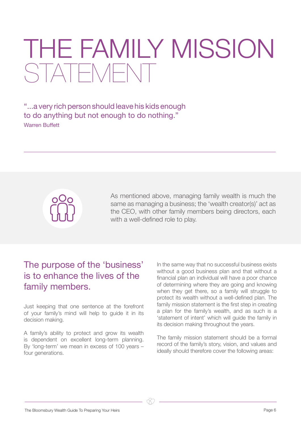### THE FAMILY MISSION STATEMENT

"...a very rich person should leave his kids enough to do anything but not enough to do nothing." Warren Buffett



As mentioned above, managing family wealth is much the same as managing a business; the 'wealth creator(s)' act as the CEO, with other family members being directors, each with a well-defined role to play.

### The purpose of the 'business' is to enhance the lives of the family members.

Just keeping that one sentence at the forefront of your family's mind will help to guide it in its decision making.

A family's ability to protect and grow its wealth is dependent on excellent long-term planning. By 'long-term' we mean in excess of 100 years – four generations.

In the same way that no successful business exists without a good business plan and that without a financial plan an individual will have a poor chance of determining where they are going and knowing when they get there, so a family will struggle to protect its wealth without a well-defined plan. The family mission statement is the first step in creating a plan for the family's wealth, and as such is a 'statement of intent' which will guide the family in its decision making throughout the years.

The family mission statement should be a formal record of the family's story, vision, and values and ideally should therefore cover the following areas:

The Bloomsbury Wealth Guide To Preparing Your Heirs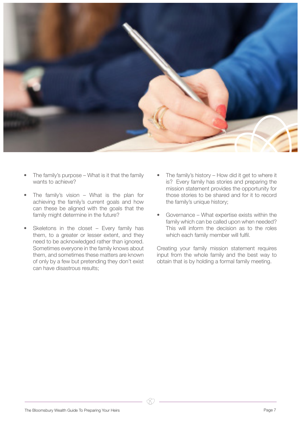

- The family's purpose What is it that the family wants to achieve?
- The family's vision  $-$  What is the plan for achieving the family's current goals and how can these be aligned with the goals that the family might determine in the future?
- Skeletons in the closet  $-$  Every family has them, to a greater or lesser extent, and they need to be acknowledged rather than ignored. Sometimes everyone in the family knows about them, and sometimes these matters are known of only by a few but pretending they don't exist can have disastrous results;
- The family's history How did it get to where it is? Every family has stories and preparing the mission statement provides the opportunity for those stories to be shared and for it to record the family's unique history;
- Governance What expertise exists within the family which can be called upon when needed? This will inform the decision as to the roles which each family member will fulfil.

Creating your family mission statement requires input from the whole family and the best way to obtain that is by holding a formal family meeting.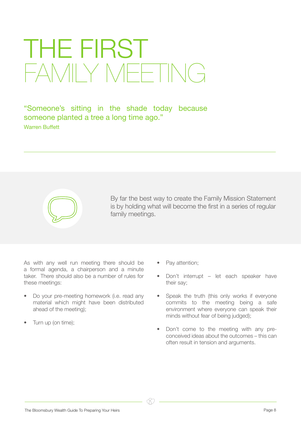### THE FIRST FAMILY MEETING

"Someone's sitting in the shade today because someone planted a tree a long time ago." Warren Buffett



By far the best way to create the Family Mission Statement is by holding what will become the first in a series of regular family meetings.

As with any well run meeting there should be a formal agenda, a chairperson and a minute taker. There should also be a number of rules for these meetings:

- Do your pre-meeting homework (i.e. read any material which might have been distributed ahead of the meeting);
- Turn up (on time);
- Pay attention;
- Don't interrupt let each speaker have their say;
- Speak the truth (this only works if everyone commits to the meeting being a safe environment where everyone can speak their minds without fear of being judged);
- Don't come to the meeting with any preconceived ideas about the outcomes – this can often result in tension and arguments.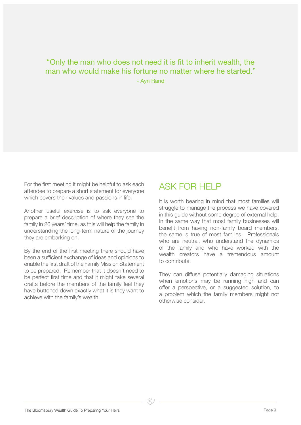#### "Only the man who does not need it is fit to inherit wealth, the man who would make his fortune no matter where he started." - Ayn Rand

For the first meeting it might be helpful to ask each attendee to prepare a short statement for everyone which covers their values and passions in life.

Another useful exercise is to ask everyone to prepare a brief description of where they see the family in 20 years' time, as this will help the family in understanding the long-term nature of the journey they are embarking on.

By the end of the first meeting there should have been a sufficient exchange of ideas and opinions to enable the first draft of the Family Mission Statement to be prepared. Remember that it doesn't need to be perfect first time and that it might take several drafts before the members of the family feel they have buttoned down exactly what it is they want to achieve with the family's wealth.

#### ASK FOR HELP

It is worth bearing in mind that most families will struggle to manage the process we have covered in this guide without some degree of external help. In the same way that most family businesses will benefit from having non-family board members, the same is true of most families. Professionals who are neutral, who understand the dynamics of the family and who have worked with the wealth creators have a tremendous amount to contribute.

They can diffuse potentially damaging situations when emotions may be running high and can offer a perspective, or a suggested solution, to a problem which the family members might not otherwise consider.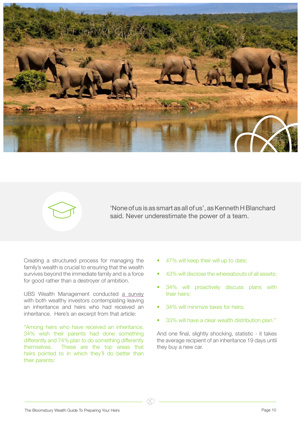



'None of us is as smart as all of us', as Kenneth H Blanchard said. Never underestimate the power of a team.

Creating a structured process for managing the family's wealth is crucial to ensuring that the wealth survives beyond the immediate family and is a force for good rather than a destroyer of ambition.

[UBS Wealth Management conducted a survey](https://www.ubs.com/content/dam/WealthManagementAmericas/documents/investor-watch-3Q2014.pdf) [with both wealthy investors contemplating leaving](https://www.ubs.com/content/dam/WealthManagementAmericas/documents/investor-watch-3Q2014.pdf) [an inheritance and heirs who had received an](https://www.ubs.com/content/dam/WealthManagementAmericas/documents/investor-watch-3Q2014.pdf) [inheritance. Here's an excerpt from that article:](https://www.ubs.com/content/dam/WealthManagementAmericas/documents/investor-watch-3Q2014.pdf)

"Among heirs who have received an inheritance, 34% wish their parents had done something differently and 74% plan to do something differently themselves. These are the top areas that heirs pointed to in which they'll do better than their parents:

- 47% will keep their will up to date;
- 43% will disclose the whereabouts of all assets;
- 34% will proactively discuss plans with their heirs;
- 34% will minimize taxes for heirs;
- 33% will have a clear wealth distribution plan."

And one final, slightly shocking, statistic - it takes the average recipient of an inheritance 19 days until they buy a new car.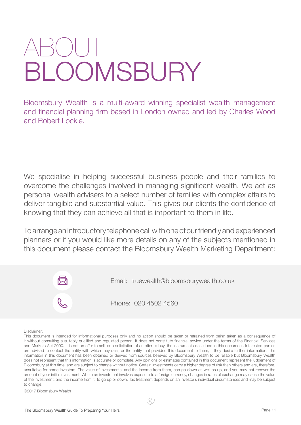### ABOUT **DOMSBURY**

Bloomsbury Wealth is a multi-award winning specialist wealth management and financial planning firm based in London owned and led by Charles Wood and Robert Lockie.

We specialise in helping successful business people and their families to overcome the challenges involved in managing significant wealth. We act as personal wealth advisers to a select number of families with complex affairs to deliver tangible and substantial value. This gives our clients the confidence of knowing that they can achieve all that is important to them in life.

To arrange an introductory telephone call with one of our friendly and experienced planners or if you would like more details on any of the subjects mentioned in this document please contact the Bloomsbury Wealth Marketing Department:



#### Disclaimer:

This document is intended for informational purposes only and no action should be taken or refrained from being taken as a consequence of it without consulting a suitably qualified and regulated person. It does not constitute financial advice under the terms of the Financial Services and Markets Act 2000. It is not an offer to sell, or a solicitation of an offer to buy, the instruments described in this document. Interested parties are advised to contact the entity with which they deal, or the entity that provided this document to them, if they desire further information. The information in this document has been obtained or derived from sources believed by Bloomsbury Wealth to be reliable but Bloomsbury Wealth does not represent that this information is accurate or complete. Any opinions or estimates contained in this document represent the judgement of Bloomsbury at this time, and are subject to change without notice. Certain investments carry a higher degree of risk than others and are, therefore, unsuitable for some investors. The value of investments, and the income from them, can go down as well as up, and you may not recover the amount of your initial investment. Where an investment involves exposure to a foreign currency, changes in rates of exchange may cause the value of the investment, and the income from it, to go up or down. Tax treatment depends on an investor's individual circumstances and may be subject to change.

©2017 Bloomsbury Wealth